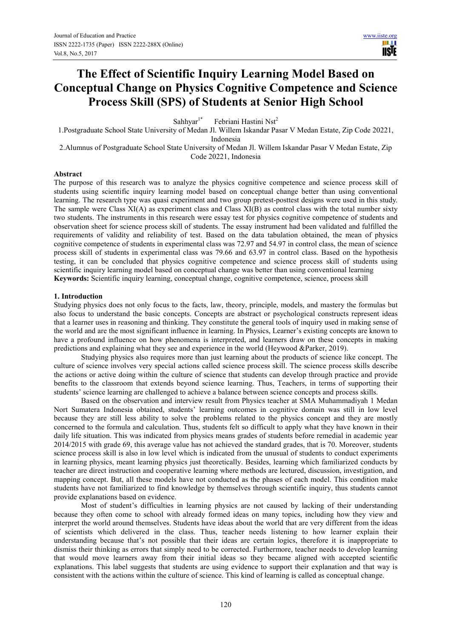Ш **IISTE** 

# **The Effect of Scientific Inquiry Learning Model Based on Conceptual Change on Physics Cognitive Competence and Science Process Skill (SPS) of Students at Senior High School**

Sahhyar<sup>1\*</sup> Febriani Hastini Nst<sup>2</sup>

1.Postgraduate School State University of Medan Jl. Willem Iskandar Pasar V Medan Estate, Zip Code 20221, Indonesia

2.Alumnus of Postgraduate School State University of Medan Jl. Willem Iskandar Pasar V Medan Estate, Zip Code 20221, Indonesia

#### **Abstract**

The purpose of this research was to analyze the physics cognitive competence and science process skill of students using scientific inquiry learning model based on conceptual change better than using conventional learning. The research type was quasi experiment and two group pretest-posttest designs were used in this study. The sample were Class XI(A) as experiment class and Class XI(B) as control class with the total number sixty two students. The instruments in this research were essay test for physics cognitive competence of students and observation sheet for science process skill of students. The essay instrument had been validated and fulfilled the requirements of validity and reliability of test. Based on the data tabulation obtained, the mean of physics cognitive competence of students in experimental class was 72.97 and 54.97 in control class, the mean of science process skill of students in experimental class was 79.66 and 63.97 in control class. Based on the hypothesis testing, it can be concluded that physics cognitive competence and science process skill of students using scientific inquiry learning model based on conceptual change was better than using conventional learning **Keywords:** Scientific inquiry learning, conceptual change, cognitive competence, science, process skill

### **1. Introduction**

Studying physics does not only focus to the facts, law, theory, principle, models, and mastery the formulas but also focus to understand the basic concepts. Concepts are abstract or psychological constructs represent ideas that a learner uses in reasoning and thinking. They constitute the general tools of inquiry used in making sense of the world and are the most significant influence in learning. In Physics, Learner's existing concepts are known to have a profound influence on how phenomena is interpreted, and learners draw on these concepts in making predictions and explaining what they see and experience in the world (Heywood &Parker, 2019).

Studying physics also requires more than just learning about the products of science like concept. The culture of science involves very special actions called science process skill. The science process skills describe the actions or active doing within the culture of science that students can develop through practice and provide benefits to the classroom that extends beyond science learning. Thus, Teachers, in terms of supporting their students' science learning are challenged to achieve a balance between science concepts and process skills.

Based on the observation and interview result from Physics teacher at SMA Muhammadiyah 1 Medan Nort Sumatera Indonesia obtained, students' learning outcomes in cognitive domain was still in low level because they are still less ability to solve the problems related to the physics concept and they are mostly concerned to the formula and calculation. Thus, students felt so difficult to apply what they have known in their daily life situation. This was indicated from physics means grades of students before remedial in academic year 2014/2015 with grade 69, this average value has not achieved the standard grades, that is 70. Moreover, students science process skill is also in low level which is indicated from the unusual of students to conduct experiments in learning physics, meant learning physics just theoretically. Besides, learning which familiarized conducts by teacher are direct instruction and cooperative learning where methods are lectured, discussion, investigation, and mapping concept. But, all these models have not conducted as the phases of each model. This condition make students have not familiarized to find knowledge by themselves through scientific inquiry, thus students cannot provide explanations based on evidence.

Most of student's difficulties in learning physics are not caused by lacking of their understanding because they often come to school with already formed ideas on many topics, including how they view and interpret the world around themselves. Students have ideas about the world that are very different from the ideas of scientists which delivered in the class. Thus, teacher needs listening to how learner explain their understanding because that's not possible that their ideas are certain logics, therefore it is inappropriate to dismiss their thinking as errors that simply need to be corrected. Furthermore, teacher needs to develop learning that would move learners away from their initial ideas so they became aligned with accepted scientific explanations. This label suggests that students are using evidence to support their explanation and that way is consistent with the actions within the culture of science. This kind of learning is called as conceptual change.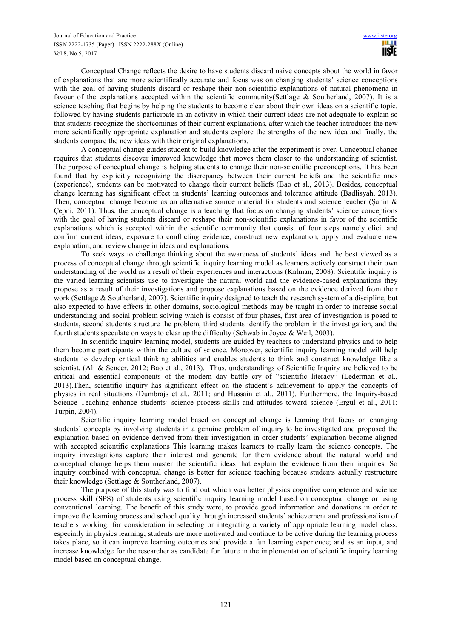Conceptual Change reflects the desire to have students discard naive concepts about the world in favor of explanations that are more scientifically accurate and focus was on changing students' science conceptions with the goal of having students discard or reshape their non-scientific explanations of natural phenomena in favour of the explanations accepted within the scientific community(Settlage & Southerland, 2007). It is a science teaching that begins by helping the students to become clear about their own ideas on a scientific topic, followed by having students participate in an activity in which their current ideas are not adequate to explain so that students recognize the shortcomings of their current explanations, after which the teacher introduces the new more scientifically appropriate explanation and students explore the strengths of the new idea and finally, the students compare the new ideas with their original explanations.

A conceptual change guides student to build knowledge after the experiment is over. Conceptual change requires that students discover improved knowledge that moves them closer to the understanding of scientist. The purpose of conceptual change is helping students to change their non-scientific preconceptions. It has been found that by explicitly recognizing the discrepancy between their current beliefs and the scientific ones (experience), students can be motivated to change their current beliefs (Bao et al., 2013). Besides, conceptual change learning has significant effect in students' learning outcomes and tolerance attitude (Badlisyah, 2013). Then, conceptual change become as an alternative source material for students and science teacher (Şahin & Çepni, 2011). Thus, the conceptual change is a teaching that focus on changing students' science conceptions with the goal of having students discard or reshape their non-scientific explanations in favor of the scientific explanations which is accepted within the scientific community that consist of four steps namely elicit and confirm current ideas, exposure to conflicting evidence, construct new explanation, apply and evaluate new explanation, and review change in ideas and explanations.

To seek ways to challenge thinking about the awareness of students' ideas and the best viewed as a process of conceptual change through scientific inquiry learning model as learners actively construct their own understanding of the world as a result of their experiences and interactions (Kalman, 2008). Scientific inquiry is the varied learning scientists use to investigate the natural world and the evidence-based explanations they propose as a result of their investigations and propose explanations based on the evidence derived from their work (Settlage & Southerland, 2007). Scientific inquiry designed to teach the research system of a discipline, but also expected to have effects in other domains, sociological methods may be taught in order to increase social understanding and social problem solving which is consist of four phases, first area of investigation is posed to students, second students structure the problem, third students identify the problem in the investigation, and the fourth students speculate on ways to clear up the difficulty (Schwab in Joyce & Weil, 2003).

In scientific inquiry learning model, students are guided by teachers to understand physics and to help them become participants within the culture of science. Moreover, scientific inquiry learning model will help students to develop critical thinking abilities and enables students to think and construct knowledge like a scientist, (Ali & Sencer, 2012; Bao et al., 2013). Thus, understandings of Scientific Inquiry are believed to be critical and essential components of the modern day battle cry of "scientific literacy" (Lederman et al., 2013).Then, scientific inquiry has significant effect on the student's achievement to apply the concepts of physics in real situations (Dumbrajs et al., 2011; and Hussain et al., 2011). Furthermore, the Inquiry-based Science Teaching enhance students' science process skills and attitudes toward science (Ergül et al., 2011; Turpin, 2004).

Scientific inquiry learning model based on conceptual change is learning that focus on changing students' concepts by involving students in a genuine problem of inquiry to be investigated and proposed the explanation based on evidence derived from their investigation in order students' explanation become aligned with accepted scientific explanations This learning makes learners to really learn the science concepts. The inquiry investigations capture their interest and generate for them evidence about the natural world and conceptual change helps them master the scientific ideas that explain the evidence from their inquiries. So inquiry combined with conceptual change is better for science teaching because students actually restructure their knowledge (Settlage & Southerland, 2007).

The purpose of this study was to find out which was better physics cognitive competence and science process skill (SPS) of students using scientific inquiry learning model based on conceptual change or using conventional learning. The benefit of this study were, to provide good information and donations in order to improve the learning process and school quality through increased students' achievement and professionalism of teachers working; for consideration in selecting or integrating a variety of appropriate learning model class, especially in physics learning; students are more motivated and continue to be active during the learning process takes place, so it can improve learning outcomes and provide a fun learning experience; and as an input, and increase knowledge for the researcher as candidate for future in the implementation of scientific inquiry learning model based on conceptual change.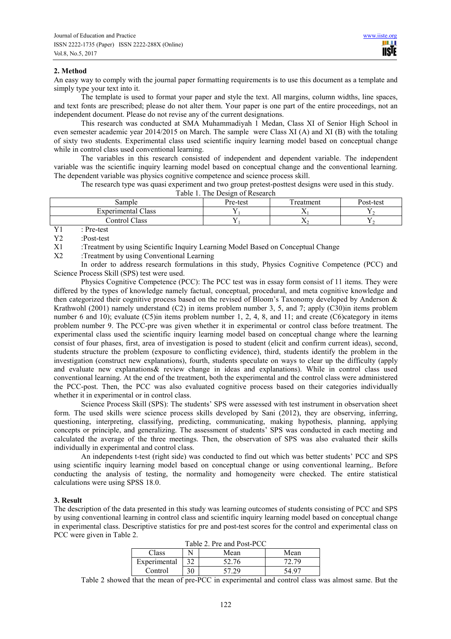## **2. Method**

An easy way to comply with the journal paper formatting requirements is to use this document as a template and simply type your text into it.

The template is used to format your paper and style the text. All margins, column widths, line spaces, and text fonts are prescribed; please do not alter them. Your paper is one part of the entire proceedings, not an independent document. Please do not revise any of the current designations.

This research was conducted at SMA Muhammadiyah 1 Medan, Class XI of Senior High School in even semester academic year 2014/2015 on March. The sample were Class XI (A) and XI (B) with the totaling of sixty two students. Experimental class used scientific inquiry learning model based on conceptual change while in control class used conventional learning.

The variables in this research consisted of independent and dependent variable. The independent variable was the scientific inquiry learning model based on conceptual change and the conventional learning. The dependent variable was physics cognitive competence and science process skill.

The research type was quasi experiment and two group pretest-posttest designs were used in this study. Table 1. The Design of Research

| Table 1. The Design of Research          |          |          |           |  |  |
|------------------------------------------|----------|----------|-----------|--|--|
| Sample                                   | Pre-test | reatment | Post-test |  |  |
| <b>Experimental Class</b>                |          | ∡⊾       |           |  |  |
| Control Class                            |          | 77.      |           |  |  |
| the contract of the contract of the con- |          |          |           |  |  |

Y1 : Pre-test

Y2 :Post-test

X1 :Treatment by using Scientific Inquiry Learning Model Based on Conceptual Change

X2 :Treatment by using Conventional Learning

In order to address research formulations in this study, Physics Cognitive Competence (PCC) and Science Process Skill (SPS) test were used.

Physics Cognitive Competence (PCC): The PCC test was in essay form consist of 11 items. They were differed by the types of knowledge namely factual, conceptual, procedural, and meta cognitive knowledge and then categorized their cognitive process based on the revised of Bloom's Taxonomy developed by Anderson & Krathwohl (2001) namely understand (C2) in items problem number 3, 5, and 7; apply (C30)in items problem number 6 and 10); evaluate (C5)in items problem number 1, 2, 4, 8, and 11; and create (C6)category in items problem number 9. The PCC-pre was given whether it in experimental or control class before treatment. The experimental class used the scientific inquiry learning model based on conceptual change where the learning consist of four phases, first, area of investigation is posed to student (elicit and confirm current ideas), second, students structure the problem (exposure to conflicting evidence), third, students identify the problem in the investigation (construct new explanations), fourth, students speculate on ways to clear up the difficulty (apply and evaluate new explanations& review change in ideas and explanations). While in control class used conventional learning. At the end of the treatment, both the experimental and the control class were administered the PCC-post. Then, the PCC was also evaluated cognitive process based on their categories individually whether it in experimental or in control class.

Science Process Skill (SPS): The students' SPS were assessed with test instrument in observation sheet form. The used skills were science process skills developed by Sani (2012), they are observing, inferring, questioning, interpreting, classifying, predicting, communicating, making hypothesis, planning, applying concepts or principle, and generalizing. The assessment of students' SPS was conducted in each meeting and calculated the average of the three meetings. Then, the observation of SPS was also evaluated their skills individually in experimental and control class.

An independents t-test (right side) was conducted to find out which was better students' PCC and SPS using scientific inquiry learning model based on conceptual change or using conventional learning,. Before conducting the analysis of testing, the normality and homogeneity were checked. The entire statistical calculations were using SPSS 18.0.

# **3. Result**

The description of the data presented in this study was learning outcomes of students consisting of PCC and SPS by using conventional learning in control class and scientific inquiry learning model based on conceptual change in experimental class. Descriptive statistics for pre and post-test scores for the control and experimental class on PCC were given in Table 2.

| Table 2. Pre and Post-PCC |    |       |       |  |  |
|---------------------------|----|-------|-------|--|--|
| Class                     |    | Mean  | Mean  |  |  |
| Experimental              |    | 52.76 | 72 79 |  |  |
| Control                   | 30 | 57 29 | 54 97 |  |  |

Table 2 showed that the mean of pre-PCC in experimental and control class was almost same. But the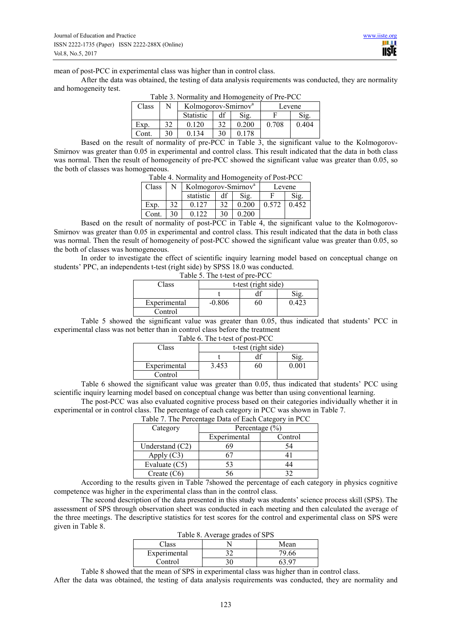mean of post-PCC in experimental class was higher than in control class.

After the data was obtained, the testing of data analysis requirements was conducted, they are normality and homogeneity test.

| Class | N  | I avie 5. Normality and Homogeneity of Fie-FCC<br>Kolmogorov-Smirnov <sup>a</sup> |    |       | Levene |       |
|-------|----|-----------------------------------------------------------------------------------|----|-------|--------|-------|
|       |    | <b>Statistic</b>                                                                  | df |       | Sig.   |       |
| Exp.  | 32 | 0.120                                                                             | 32 | 0.200 | 0.708  | 0.404 |
| Cont. | 30 | 0 1 3 4                                                                           | 30 | 0.178 |        |       |

|  | Table 3. Normality and Homogeneity of Pre-PCC |
|--|-----------------------------------------------|
|  |                                               |

Based on the result of normality of pre-PCC in Table 3, the significant value to the Kolmogorov-Smirnov was greater than 0.05 in experimental and control class. This result indicated that the data in both class was normal. Then the result of homogeneity of pre-PCC showed the significant value was greater than 0.05, so the both of classes was homogeneous.

| Table 4. INDITIATITY and HOMOGENEITY OF FOST-FUC |    |                                 |    |       |        |       |
|--------------------------------------------------|----|---------------------------------|----|-------|--------|-------|
| Class                                            |    | Kolmogorov-Smirnov <sup>a</sup> |    |       | Levene |       |
|                                                  |    | statistic                       | df |       | Sig.   |       |
| Exp.                                             | 32 | 0.127                           | 32 | 0.200 | 0.572  | 0.452 |
| Cont.                                            | 30 | 0.122                           | 30 | 0.200 |        |       |

Table 4. Normality and Homogeneity of Post-PCC

Based on the result of normality of post-PCC in Table 4, the significant value to the Kolmogorov-Smirnov was greater than 0.05 in experimental and control class. This result indicated that the data in both class was normal. Then the result of homogeneity of post-PCC showed the significant value was greater than 0.05, so the both of classes was homogeneous.

In order to investigate the effect of scientific inquiry learning model based on conceptual change on students' PPC, an independents t-test (right side) by SPSS 18.0 was conducted.

| Table 5. The t-test of pre-PCC |                     |    |       |  |  |  |  |  |
|--------------------------------|---------------------|----|-------|--|--|--|--|--|
| Class                          | t-test (right side) |    |       |  |  |  |  |  |
|                                |                     |    |       |  |  |  |  |  |
| Experimental                   | $-0.806$            | 60 | 0.423 |  |  |  |  |  |
| Control                        |                     |    |       |  |  |  |  |  |

Table 5 showed the significant value was greater than 0.05, thus indicated that students' PCC in experimental class was not better than in control class before the treatment

| Class        | t-test (right side) |    |       |  |
|--------------|---------------------|----|-------|--|
|              |                     |    |       |  |
| Experimental | 3.453               | эU | ) 001 |  |
| Control      |                     |    |       |  |

Table 6 showed the significant value was greater than 0.05, thus indicated that students' PCC using scientific inquiry learning model based on conceptual change was better than using conventional learning.

The post-PCC was also evaluated cognitive process based on their categories individually whether it in experimental or in control class. The percentage of each category in PCC was shown in Table 7.

| Table 7. The Percentage Data of Each Category in PCC |                         |    |  |  |
|------------------------------------------------------|-------------------------|----|--|--|
| Category                                             | Percentage $(\% )$      |    |  |  |
|                                                      | Experimental<br>Control |    |  |  |
| Understand $(C2)$                                    | 69                      | 54 |  |  |
| Apply $(C3)$                                         | 67                      |    |  |  |
| Evaluate (C5)                                        | 53                      | 44 |  |  |
| Create $(C6)$                                        | 56                      | 32 |  |  |

Table 7. The Percentage Data of Each Category

According to the results given in Table 7showed the percentage of each category in physics cognitive competence was higher in the experimental class than in the control class.

The second description of the data presented in this study was students' science process skill (SPS). The assessment of SPS through observation sheet was conducted in each meeting and then calculated the average of the three meetings. The descriptive statistics for test scores for the control and experimental class on SPS were given in Table 8.

| Table 8. Average grades of SPS |               |       |  |  |  |
|--------------------------------|---------------|-------|--|--|--|
| Class<br>Mean                  |               |       |  |  |  |
| Experimental                   |               | 79.66 |  |  |  |
| Control                        |               | 63 O7 |  |  |  |
| _ _ _ _                        | $\sim$ $\sim$ | .     |  |  |  |

Table 8 showed that the mean of SPS in experimental class was higher than in control class.

After the data was obtained, the testing of data analysis requirements was conducted, they are normality and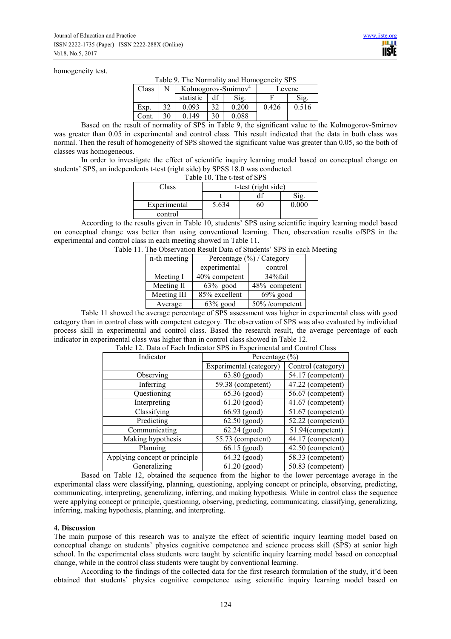#### homogeneity test.

Table 9. The Normality and Homogeneity SPS

| Class |    | Kolmogorov-Smirnov <sup>a</sup> |    |       |       | Levene |
|-------|----|---------------------------------|----|-------|-------|--------|
|       |    | statistic                       |    | Sig.  |       | Sig    |
| Exp.  | 32 | 0.093                           | 20 | 0.200 | 0.426 | 0.516  |
| Cont. | 30 | 0 149                           | 30 | 0.088 |       |        |

Based on the result of normality of SPS in Table 9, the significant value to the Kolmogorov-Smirnov was greater than 0.05 in experimental and control class. This result indicated that the data in both class was normal. Then the result of homogeneity of SPS showed the significant value was greater than 0.05, so the both of classes was homogeneous.

In order to investigate the effect of scientific inquiry learning model based on conceptual change on students' SPS, an independents t-test (right side) by SPSS 18.0 was conducted.

| Table 10. The t-test of SPS |                     |    |       |  |  |  |
|-----------------------------|---------------------|----|-------|--|--|--|
| Class                       | t-test (right side) |    |       |  |  |  |
|                             |                     |    | 10,   |  |  |  |
| Experimental                | 5.634               | 60 | 0.000 |  |  |  |
| control                     |                     |    |       |  |  |  |

According to the results given in Table 10, students' SPS using scientific inquiry learning model based on conceptual change was better than using conventional learning. Then, observation results ofSPS in the experimental and control class in each meeting showed in Table 11.

| Table 11. The Observation Result Data of Students' SPS in each Meeting |
|------------------------------------------------------------------------|
|------------------------------------------------------------------------|

| n-th meeting | Percentage $(\%)$ / Category |                |
|--------------|------------------------------|----------------|
|              | experimental                 | control        |
| Meeting I    | 40% competent                | 34%fail        |
| Meeting II   | $63\%$ good                  | 48% competent  |
| Meeting III  | 85% excellent                | $69\%$ good    |
| Average      | $63\%$ good                  | 50% /competent |

Table 11 showed the average percentage of SPS assessment was higher in experimental class with good category than in control class with competent category. The observation of SPS was also evaluated by individual process skill in experimental and control class. Based the research result, the average percentage of each indicator in experimental class was higher than in control class showed in Table 12.

| Indicator                     | Percentage $(\% )$      |                    |  |
|-------------------------------|-------------------------|--------------------|--|
|                               | Experimental (category) | Control (category) |  |
| Observing                     | 63.80 (good)            | 54.17 (competent)  |  |
| Inferring                     | 59.38 (competent)       | 47.22 (competent)  |  |
| Questioning                   | 65.36 (good)            | 56.67 (competent)  |  |
| Interpreting                  | $61.20$ (good)          | 41.67 (competent)  |  |
| Classifying                   | 66.93 (good)            | 51.67 (competent)  |  |
| Predicting                    | $62.50$ (good)          | 52.22 (competent)  |  |
| Communicating                 | $62.24$ (good)          | 51.94(competent)   |  |
| Making hypothesis             | 55.73 (competent)       | 44.17 (competent)  |  |
| Planning                      | 66.15 (good)            | 42.50 (competent)  |  |
| Applying concept or principle | 64.32 (good)            | 58.33 (competent)  |  |
| Generalizing                  | $61.20$ (good)          | 50.83 (competent)  |  |

Table 12. Data of Each Indicator SPS in Experimental and Control Class

Based on Table 12, obtained the sequence from the higher to the lower percentage average in the experimental class were classifying, planning, questioning, applying concept or principle, observing, predicting, communicating, interpreting, generalizing, inferring, and making hypothesis. While in control class the sequence were applying concept or principle, questioning, observing, predicting, communicating, classifying, generalizing, inferring, making hypothesis, planning, and interpreting.

#### **4. Discussion**

The main purpose of this research was to analyze the effect of scientific inquiry learning model based on conceptual change on students' physics cognitive competence and science process skill (SPS) at senior high school. In the experimental class students were taught by scientific inquiry learning model based on conceptual change, while in the control class students were taught by conventional learning.

According to the findings of the collected data for the first research formulation of the study, it'd been obtained that students' physics cognitive competence using scientific inquiry learning model based on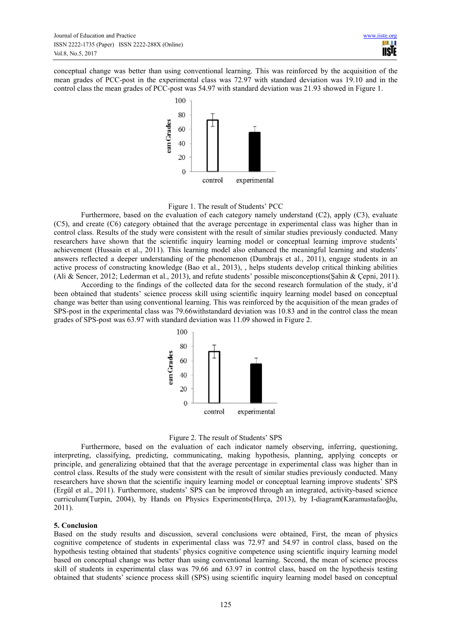conceptual change was better than using conventional learning. This was reinforced by the acquisition of the mean grades of PCC-post in the experimental class was 72.97 with standard deviation was 19.10 and in the control class the mean grades of PCC-post was 54.97 with standard deviation was 21.93 showed in Figure 1.



#### Figure 1. The result of Students' PCC

Furthermore, based on the evaluation of each category namely understand (C2), apply (C3), evaluate (C5), and create (C6) category obtained that the average percentage in experimental class was higher than in control class. Results of the study were consistent with the result of similar studies previously conducted. Many researchers have shown that the scientific inquiry learning model or conceptual learning improve students' achievement (Hussain et al., 2011). This learning model also enhanced the meaningful learning and students' answers reflected a deeper understanding of the phenomenon (Dumbrajs et al., 2011), engage students in an active process of constructing knowledge (Bao et al., 2013), , helps students develop critical thinking abilities (Ali & Sencer, 2012; Lederman et al., 2013), and refute students' possible misconceptions(Şahin & Çepni, 2011).

According to the findings of the collected data for the second research formulation of the study, it'd been obtained that students' science process skill using scientific inquiry learning model based on conceptual change was better than using conventional learning. This was reinforced by the acquisition of the mean grades of SPS-post in the experimental class was 79.66withstandard deviation was 10.83 and in the control class the mean grades of SPS-post was 63.97 with standard deviation was 11.09 showed in Figure 2.





Furthermore, based on the evaluation of each indicator namely observing, inferring, questioning, interpreting, classifying, predicting, communicating, making hypothesis, planning, applying concepts or principle, and generalizing obtained that that the average percentage in experimental class was higher than in control class. Results of the study were consistent with the result of similar studies previously conducted. Many researchers have shown that the scientific inquiry learning model or conceptual learning improve students' SPS (Ergül et al., 2011). Furthermore, students' SPS can be improved through an integrated, activity-based science curriculum(Turpin, 2004), by Hands on Physics Experiments(Hırça, 2013), by I-diagram(Karamustafaoğlu, 2011).

# **5. Conclusion**

Based on the study results and discussion, several conclusions were obtained, First, the mean of physics cognitive competence of students in experimental class was 72.97 and 54.97 in control class, based on the hypothesis testing obtained that students' physics cognitive competence using scientific inquiry learning model based on conceptual change was better than using conventional learning. Second, the mean of science process skill of students in experimental class was 79.66 and 63.97 in control class, based on the hypothesis testing obtained that students' science process skill (SPS) using scientific inquiry learning model based on conceptual